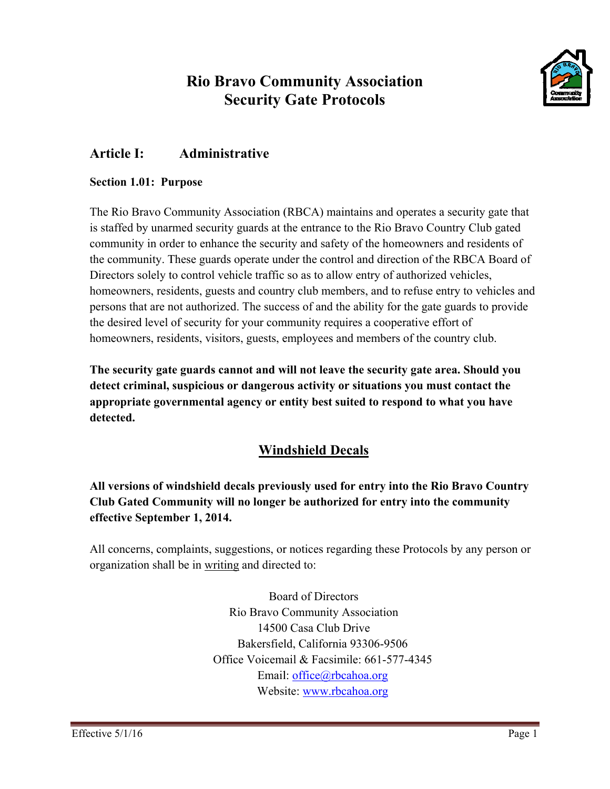# **Rio Bravo Community Association Security Gate Protocols**



# **Article I:** Administrative

# **Section 1.01: Purpose**

The Rio Bravo Community Association (RBCA) maintains and operates a security gate that is staffed by unarmed security guards at the entrance to the Rio Bravo Country Club gated community in order to enhance the security and safety of the homeowners and residents of the community. These guards operate under the control and direction of the RBCA Board of Directors solely to control vehicle traffic so as to allow entry of authorized vehicles, homeowners, residents, guests and country club members, and to refuse entry to vehicles and persons that are not authorized. The success of and the ability for the gate guards to provide the desired level of security for your community requires a cooperative effort of homeowners, residents, visitors, guests, employees and members of the country club.

The security gate guards cannot and will not leave the security gate area. Should you detect criminal, suspicious or dangerous activity or situations you must contact the appropriate governmental agency or entity best suited to respond to what you have detected.

# **Windshield Decals**

All versions of windshield decals previously used for entry into the Rio Bravo Country Club Gated Community will no longer be authorized for entry into the community effective September 1, 2014.

All concerns, complaints, suggestions, or notices regarding these Protocols by any person or organization shall be in writing and directed to:

> **Board of Directors** Rio Bravo Community Association 14500 Casa Club Drive Bakersfield, California 93306-9506 Office Voicemail & Facsimile: 661-577-4345 Email:  $of\text{fice}(\widehat{a})$ rbcahoa.org Website: www.rbcahoa.org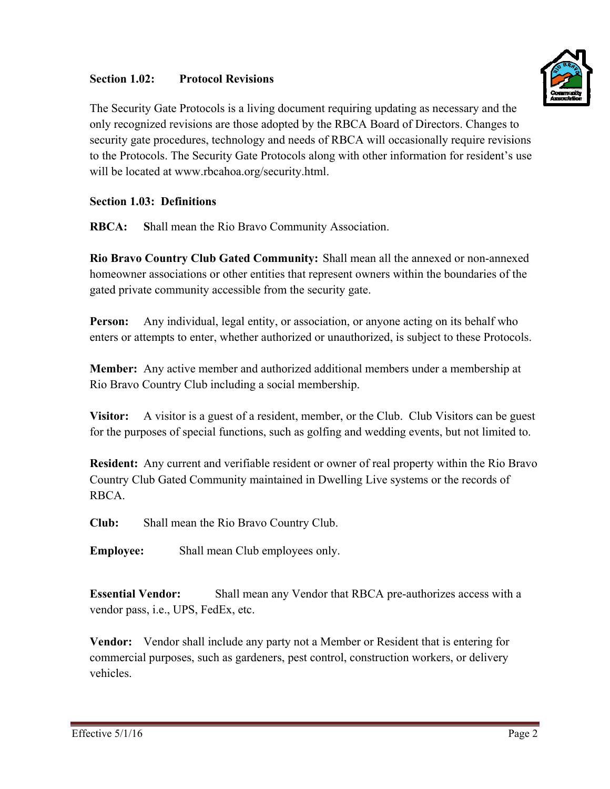### Section 1.02: **Protocol Revisions**



The Security Gate Protocols is a living document requiring updating as necessary and the only recognized revisions are those adopted by the RBCA Board of Directors. Changes to security gate procedures, technology and needs of RBCA will occasionally require revisions to the Protocols. The Security Gate Protocols along with other information for resident's use will be located at www.rbcahoa.org/security.html.

# **Section 1.03: Definitions**

**RBCA:** Shall mean the Rio Bravo Community Association.

Rio Bravo Country Club Gated Community: Shall mean all the annexed or non-annexed homeowner associations or other entities that represent owners within the boundaries of the gated private community accessible from the security gate.

Person: Any individual, legal entity, or association, or anyone acting on its behalf who enters or attempts to enter, whether authorized or unauthorized, is subject to these Protocols.

**Member:** Any active member and authorized additional members under a membership at Rio Bravo Country Club including a social membership.

A visitor is a guest of a resident, member, or the Club. Club Visitors can be guest Visitor: for the purposes of special functions, such as golfing and wedding events, but not limited to.

Resident: Any current and verifiable resident or owner of real property within the Rio Bravo Country Club Gated Community maintained in Dwelling Live systems or the records of RBCA.

 $Cl<sub>u</sub>$ <sub>h</sub>: Shall mean the Rio Bravo Country Club.

Shall mean Club employees only. **Emplovee:** 

**Essential Vendor:** Shall mean any Vendor that RBCA pre-authorizes access with a vendor pass, i.e., UPS, FedEx, etc.

**Vendor:** Vendor shall include any party not a Member or Resident that is entering for commercial purposes, such as gardeners, pest control, construction workers, or delivery vehicles.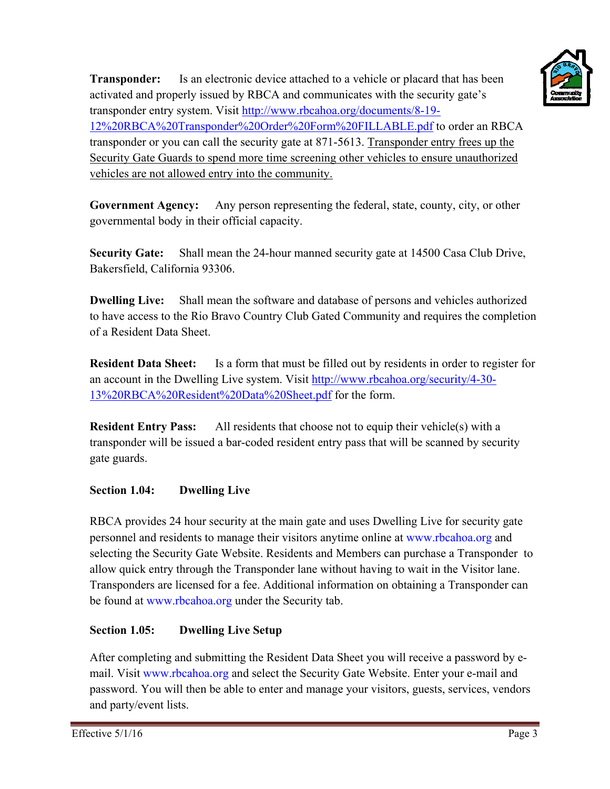

Is an electronic device attached to a vehicle or placard that has been **Transponder:** activated and properly issued by RBCA and communicates with the security gate's transponder entry system. Visit http://www.rbcahoa.org/documents/8-19-12%20RBCA%20Transponder%20Order%20Form%20FILLABLE.pdf to order an RBCA transponder or you can call the security gate at 871-5613. Transponder entry frees up the Security Gate Guards to spend more time screening other vehicles to ensure unauthorized vehicles are not allowed entry into the community.

**Government Agency:** Any person representing the federal, state, county, city, or other governmental body in their official capacity.

Shall mean the 24-hour manned security gate at 14500 Casa Club Drive, **Security Gate:** Bakersfield, California 93306.

**Dwelling Live:** Shall mean the software and database of persons and vehicles authorized to have access to the Rio Bravo Country Club Gated Community and requires the completion of a Resident Data Sheet.

**Resident Data Sheet:** Is a form that must be filled out by residents in order to register for an account in the Dwelling Live system. Visit http://www.rbcahoa.org/security/4-30-13%20RBCA%20Resident%20Data%20Sheet.pdf for the form.

**Resident Entry Pass:** All residents that choose not to equip their vehicle(s) with a transponder will be issued a bar-coded resident entry pass that will be scanned by security gate guards.

# Section 1.04: **Dwelling Live**

RBCA provides 24 hour security at the main gate and uses Dwelling Live for security gate personnel and residents to manage their visitors anytime online at www.rbcahoa.org and selecting the Security Gate Website. Residents and Members can purchase a Transponder to allow quick entry through the Transponder lane without having to wait in the Visitor lane. Transponders are licensed for a fee. Additional information on obtaining a Transponder can be found at www.rbcahoa.org under the Security tab.

# Section 1.05: **Dwelling Live Setup**

After completing and submitting the Resident Data Sheet you will receive a password by email. Visit www.rbcahoa.org and select the Security Gate Website. Enter your e-mail and password. You will then be able to enter and manage your visitors, guests, services, vendors and party/event lists.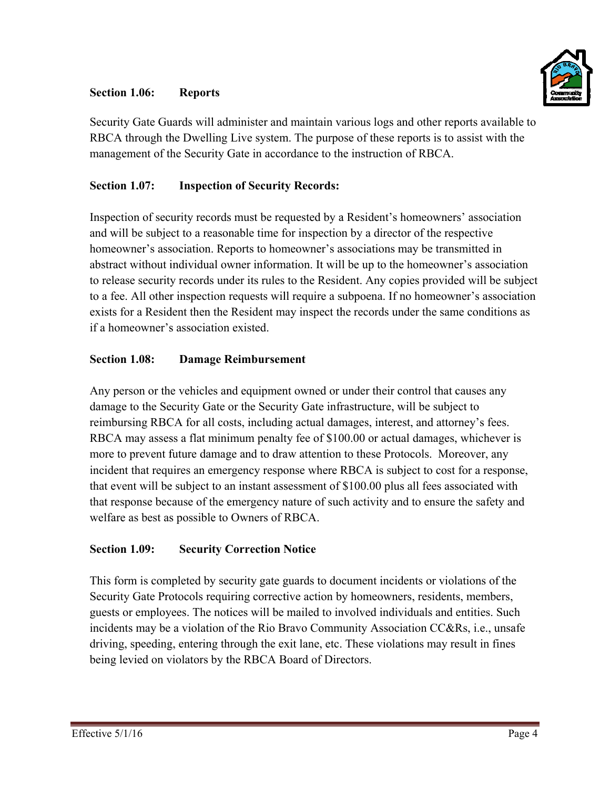# Section 1.06: **Reports**



Security Gate Guards will administer and maintain various logs and other reports available to RBCA through the Dwelling Live system. The purpose of these reports is to assist with the management of the Security Gate in accordance to the instruction of RBCA.

# Section 1.07: **Inspection of Security Records:**

Inspection of security records must be requested by a Resident's homeowners' association and will be subject to a reasonable time for inspection by a director of the respective homeowner's association. Reports to homeowner's associations may be transmitted in abstract without individual owner information. It will be up to the homeowner's association to release security records under its rules to the Resident. Any copies provided will be subject to a fee. All other inspection requests will require a subpoena. If no homeowner's association exists for a Resident then the Resident may inspect the records under the same conditions as if a homeowner's association existed.

### Section 1.08: **Damage Reimbursement**

Any person or the vehicles and equipment owned or under their control that causes any damage to the Security Gate or the Security Gate infrastructure, will be subject to reimbursing RBCA for all costs, including actual damages, interest, and attorney's fees. RBCA may assess a flat minimum penalty fee of \$100.00 or actual damages, whichever is more to prevent future damage and to draw attention to these Protocols. Moreover, any incident that requires an emergency response where RBCA is subject to cost for a response, that event will be subject to an instant assessment of \$100.00 plus all fees associated with that response because of the emergency nature of such activity and to ensure the safety and welfare as best as possible to Owners of RBCA.

#### **Section 1.09: Security Correction Notice**

This form is completed by security gate guards to document incidents or violations of the Security Gate Protocols requiring corrective action by homeowners, residents, members, guests or employees. The notices will be mailed to involved individuals and entities. Such incidents may be a violation of the Rio Bravo Community Association CC&Rs, *i.e.*, unsafe driving, speeding, entering through the exit lane, etc. These violations may result in fines being levied on violators by the RBCA Board of Directors.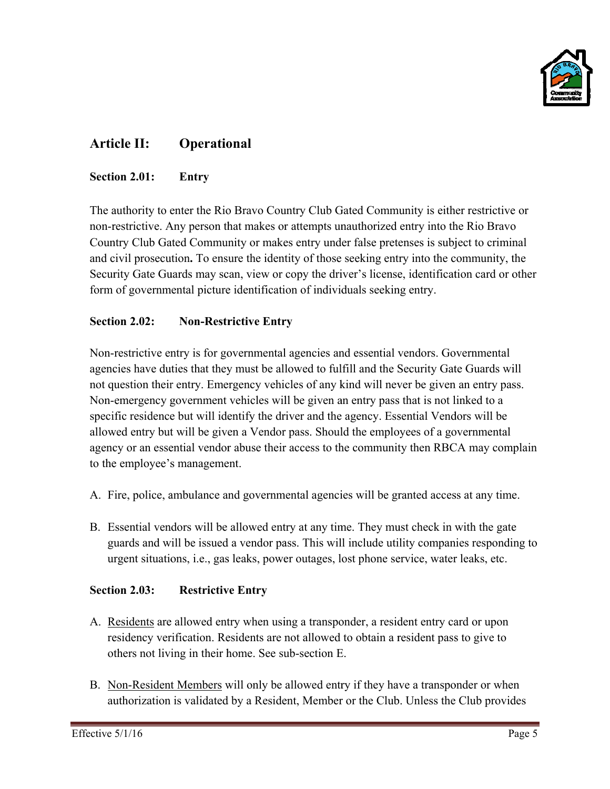

# **Article II: Operational**

#### Section 2.01: **Entry**

The authority to enter the Rio Bravo Country Club Gated Community is either restrictive or non-restrictive. Any person that makes or attempts unauthorized entry into the Rio Bravo Country Club Gated Community or makes entry under false pretenses is subject to criminal and civil prosecution. To ensure the identity of those seeking entry into the community, the Security Gate Guards may scan, view or copy the driver's license, identification card or other form of governmental picture identification of individuals seeking entry.

# Section 2.02: **Non-Restrictive Entry**

Non-restrictive entry is for governmental agencies and essential vendors. Governmental agencies have duties that they must be allowed to fulfill and the Security Gate Guards will not question their entry. Emergency vehicles of any kind will never be given an entry pass. Non-emergency government vehicles will be given an entry pass that is not linked to a specific residence but will identify the driver and the agency. Essential Vendors will be allowed entry but will be given a Vendor pass. Should the employees of a governmental agency or an essential vendor abuse their access to the community then RBCA may complain to the employee's management.

- A. Fire, police, ambulance and governmental agencies will be granted access at any time.
- B. Essential vendors will be allowed entry at any time. They must check in with the gate guards and will be issued a vendor pass. This will include utility companies responding to urgent situations, i.e., gas leaks, power outages, lost phone service, water leaks, etc.

# **Section 2.03: Restrictive Entry**

- A. Residents are allowed entry when using a transponder, a resident entry card or upon residency verification. Residents are not allowed to obtain a resident pass to give to others not living in their home. See sub-section E.
- B. Non-Resident Members will only be allowed entry if they have a transponder or when authorization is validated by a Resident, Member or the Club. Unless the Club provides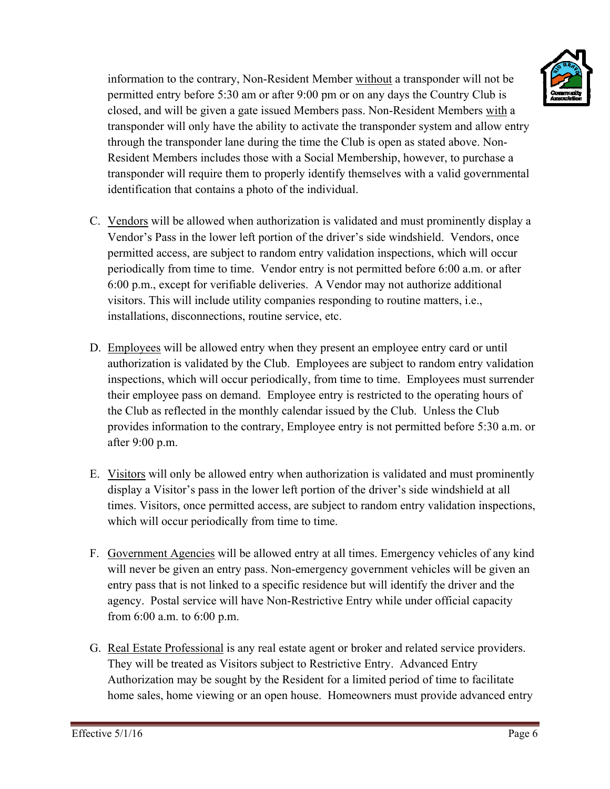

information to the contrary, Non-Resident Member without a transponder will not be permitted entry before 5:30 am or after 9:00 pm or on any days the Country Club is closed, and will be given a gate issued Members pass. Non-Resident Members with a information to the contrary, Non-Resident Member <u>without</u> a transponder will not be<br>permitted entry before 5:30 am or after 9:00 pm or on any days the Country Club is<br>closed, and will be given a gate issued Members pass. through the transponder lane during the time the Club is open as stated above. Non-Resident Members includes those with a Social Membership, however, to purchase a transponder will require them to properly identify themselves with a valid governmental identification that contains a photo of the individual.

- C. Vendors will be allowed when authorization is validated and must prominently display a Vendor's Pass in the lower left portion of the driver's side windshield. Vendors, once permitted access, are subject to random entry validation inspections, which will occur periodically from time to time. Vendor entry is not permitted before 6:00 a.m. or after 6:00 p.m., except for verifiable deliveries. A Vendor may not authorize additional visitors. This will include utility companies responding to routine matters, i.e., installations, disconnections, routine service, etc.
- D. Employees will be allowed entry when they present an employee entry card or until authorization is validated by the Club. Employees are subject to random entry validation inspections, which will occur periodically, from time to time. Employees must surrender their employee pass on demand. Employee entry is restricted to the operating hours of the Club as reflected in the monthly calendar issued by the Club. Unless the Club provides information to the contrary, Employee entry is not permitted before 5:30 a.m. or af fter 9:00 p.m m.
- E. Visitors will only be allowed entry when authorization is validated and must prominently display a Visitor's pass in the lower left portion of the driver's side windshield at all times. Visitors, once permitted access, are subject to random entry validation inspections, which will occur periodically from time to time.
- F. Government Agencies will be allowed entry at all times. Emergency vehicles of any kind will never be given an entry pass. Non-emergency government vehicles will be given an entry pass that is not linked to a specific residence but will identify the driver and the agency. Postal service will have Non-Restrictive Entry while under official capacity from 6:00 a.m. to 6:00 p.m. entry pass that is not linked to a specific residence but will identify the driver and the agency. Postal service will have Non-Restrictive Entry while under official capacity from 6:00 a.m. to 6:00 p.m.<br>G. <u>Real Estate Pr</u>
- They will be treated as Visitors subject to Restrictive Entry. Advanced Entry Authorization may be sought by the Resident for a limited period of time to facilitate Authorization may be sought by the Resident for a limited period of time to facilitate<br>home sales, home viewing or an open house. Homeowners must provide advanced entry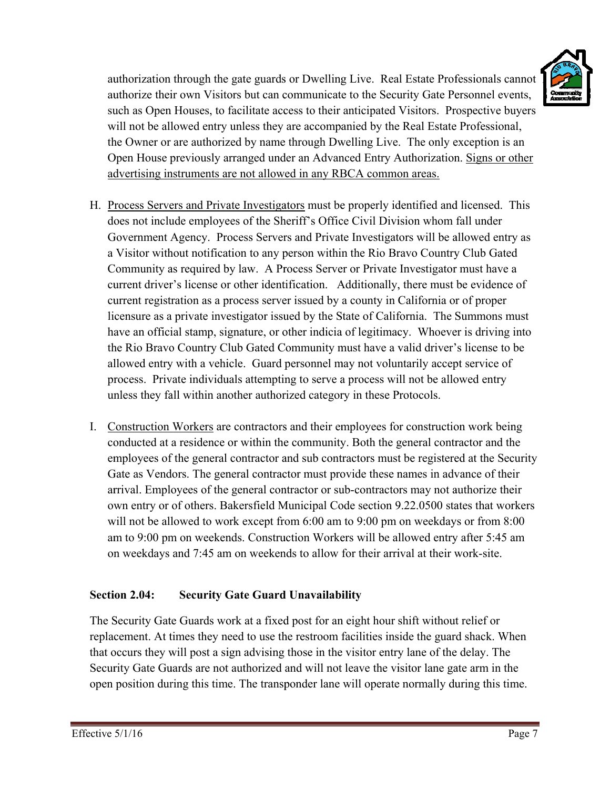

authorization through the gate guards or Dwelling Live. Real Estate Professionals cannot authorize their own Visitors but can communicate to the Security Gate Personnel events, such as Open Houses, to facilitate access to their anticipated Visitors. Prospective buyers will not be allowed entry unless they are accompanied by the Real Estate Professional, the Owner or are authorized by name through Dwelling Live. The only exception is an Open House previously arranged under an Advanced Entry Authorization. Signs or other advertising instruments are not allowed in any RBCA common areas.

- H. Process Servers and Private Investigators must be properly identified and licensed. This does not include employees of the Sheriff's Office Civil Division whom fall under Government Agency. Process Servers and Private Investigators will be allowed entry as a Visitor without notification to any person within the Rio Bravo Country Club Gated Community as required by law. A Process Server or Private Investigator must have a current driver's license or other identification. Additionally, there must be evidence of current registration as a process server issued by a county in California or of proper licensure as a private investigator issued by the State of California. The Summons must have an official stamp, signature, or other indicia of legitimacy. Whoever is driving into the Rio Bravo Country Club Gated Community must have a valid driver's license to be allowed entry with a vehicle. Guard personnel may not voluntarily accept service of process. Private individuals attempting to serve a process will not be allowed entry unless they fall within another authorized category in these Protocols.
- I. Construction Workers are contractors and their employees for construction work being conducted at a residence or within the community. Both the general contractor and the employees of the general contractor and sub contractors must be registered at the Security Gate as Vendors. The general contractor must provide these names in advance of their arrival. Employees of the general contractor or sub-contractors may not authorize their own entry or of others. Bakersfield Municipal Code section 9.22.0500 states that workers will not be allowed to work except from 6:00 am to 9:00 pm on weekdays or from 8:00 am to 9:00 pm on weekends. Construction Workers will be allowed entry after 5:45 am on weekdays and 7:45 am on weekends to allow for their arrival at their work-site.

# Section 2.04: **Security Gate Guard Unavailability**

The Security Gate Guards work at a fixed post for an eight hour shift without relief or replacement. At times they need to use the restroom facilities inside the guard shack. When that occurs they will post a sign advising those in the visitor entry lane of the delay. The Security Gate Guards are not authorized and will not leave the visitor lane gate arm in the open position during this time. The transponder lane will operate normally during this time.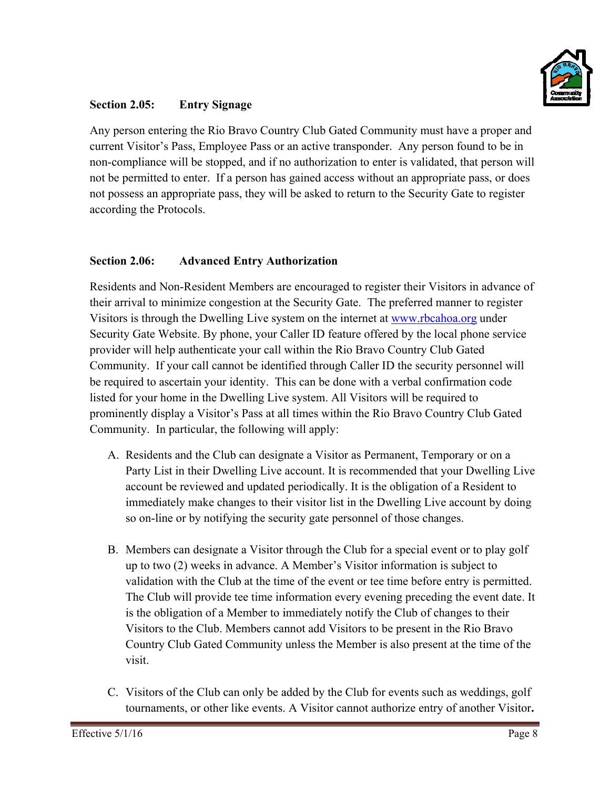

#### **Secti ion 2.05: Entry Signage**

Any person entering the Rio Bravo Country Club Gated Community must have a proper and current Visitor's Pass, Employee Pass or an active transponder. Any person found to be in non-compliance will be stopped, and if no authorization to enter is validated, that person will not be permitted to enter. If a person has gained access without an appropriate pass, or does not possess an appropriate pass, they will be asked to return to the Security Gate to register according the Protocols.

### **Section 2.06: Advanced Entry Authorization**

Residents and Non-Resident Members are encouraged to register their Visitors in advance of their arrival to minimize congestion at the Security Gate. The preferred manner to register Visitors is through the Dwelling Live system on the internet at www.rbcahoa.org under Security Gate Website. By phone, your Caller ID feature offered by the local phone service provider will help authenticate your call within the Rio Bravo Country Club Gated Community. If your call cannot be identified through Caller ID the security personnel will be required to ascertain your identity. This can be done with a verbal confirmation code listed for your home in the Dwelling Live system. All Visitors will be required to prominently display a Visitor's Pass at all times within the Rio Bravo Country Club Gated Community. In particular, the following will apply:

- A. Residents and the Club can designate a Visitor as Permanent, Temporary or on a Party List in their Dwelling Live account. It is recommended that your Dwelling Live account be reviewed and updated periodically. It is the obligation of a Resident to account be reviewed and updated periodically. It is the obligation of a Resident to<br>immediately make changes to their visitor list in the Dwelling Live account by doing so on-line or by notifying the security gate personnel of those changes.
- B. Members can designate a Visitor through the Club for a special event or to play golf up to two (2) weeks in advance. A Member's Visitor information is subject to validation with the Club at the time of the event or tee time before entry is permitted. The Club will provide tee time information every evening preceding the event date. It is the obligation of a Member to immediately notify the Club of changes to their Visitors to the Club. Members cannot add Visitors to be present in the Rio Bravo Country Club Gated Community unless the Member is also present at the time of the visit.
- C. Visitors of the Club can only be added by the Club for events such as weddings, golf tournaments, or other like events. A Visitor cannot authorize entry of another Visitor.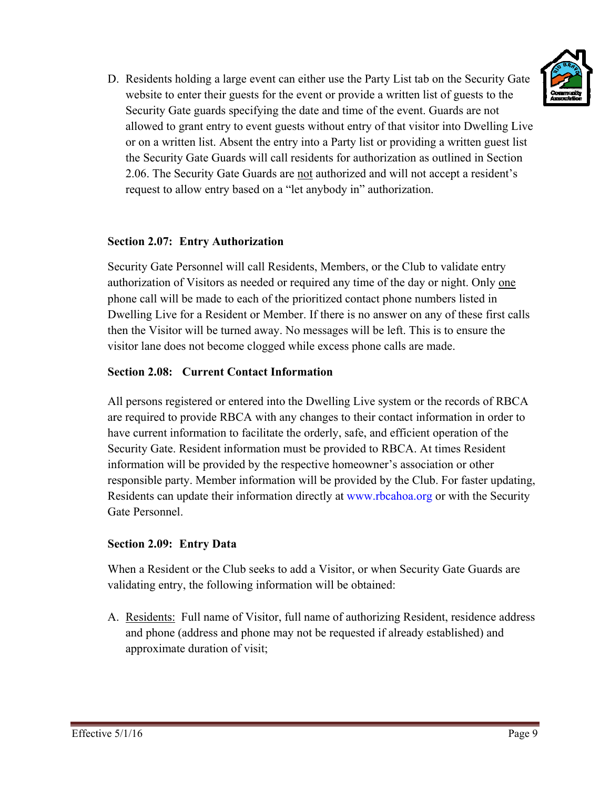

D. Residents holding a large event can either use the Party List tab on the Security Gate website to enter their guests for the event or provide a written list of guests to the Security Gate guards specifying the date and time of the event. Guards are not website to enter their guests for the event or provide a written list of guests to the<br>Security Gate guards specifying the date and time of the event. Guards are not<br>allowed to grant entry to event guests without entry of or on a written list. Absent the entry into a Party list or providing a written guest list the Security Gate Guards will call residents for authorization as outlined in Section 2.06. The Security Gate Guards are not authorized and will not accept a resident's request to allow entry based on a "let anybody in" authorization.

# **Section 2.07: Entry Authorization**

Security Gate Personnel will call Residents, Members, or the Club to validate entry authorization of Visitors as needed or required any time of the day or night. Only one phone call will be made to each of the prioritized contact phone numbers listed in authorization of Visitors as needed or required any time of the day or night. Only <u>one</u><br>phone call will be made to each of the prioritized contact phone numbers listed in<br>Dwelling Live for a Resident or Member. If there i then the Visitor will be turned away. No messages will be left. This is to ensure the visitor lane does not become clogged while excess phone calls are made.

# **Section 2.08: Current Contact Information**

All persons registered or entered into the Dwelling Live system or the records of RBCA are required to provide RBCA with any changes to their contact information in order to have current information to facilitate the orderly, safe, and efficient operation of the Security Gate. Resident information must be provided to RBCA. At times Resident information will be provided by the respective homeowner's association or other responsible party. Member information will be provided by the Club. For faster updating, Residents can update their information directly at www.rbcahoa.org or with the Security Gate Personnel.

# **Section 2.09: Entry Data**

When a Resident or the Club seeks to add a Visitor, or when Security Gate Guards are validating entry, the following information will be obtained:

A. Residents: Full name of Visitor, full name of authorizing Resident, residence address and phone (address and phone may not be requested if already established) and approximate duration of visit;